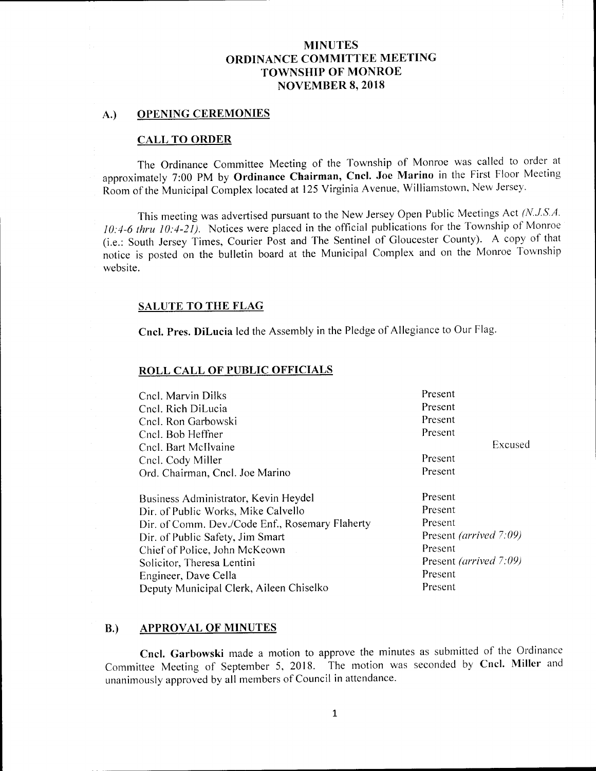#### A.) OPENING CEREMONIES

#### CALL TO ORDER

The Ordinance Committee Meeting of the Township of Monroe was called to order at approximately 7:00 PM by Ordinance Chairman, Cncl. Joe Marino in the First Floor Meeting Room of the Municipal Complex located at 125 Virginia Avenue, Williamstown, New Jersey.

This meeting was advertised pursuant to the New Jersey Open Public Meetings Act (N.J.S.A. 10:4-6 thru 10:4-21). Notices were placed in the official publications for the Township of Monroe i. e.: South Jersey Times, Courier Post and The Sentinel of Gloucester County). A copy of that notice is posted on the bulletin board at the Municipal Complex and on the Monroe Township website.

#### SALUTE TO THE FLAG

Cncl. Pres. DiLucia led the Assembly in the Pledge of Allegiance to Our Flag.

#### ROLL CALL OF PUBLIC OFFICIALS

| Present                       |  |
|-------------------------------|--|
| Present                       |  |
| Present                       |  |
| Present                       |  |
| Excused                       |  |
| Present                       |  |
| Present                       |  |
| Present                       |  |
| Present                       |  |
| Present                       |  |
| Present <i>(arrived 7:09)</i> |  |
| Present                       |  |
| Present <i>(arrived 7:09)</i> |  |
| Present                       |  |
| Present                       |  |
|                               |  |

#### B.) APPROVAL OF MINUTES

Cncl. Garbowski made <sup>a</sup> motion to approve the minutes as submitted of the Ordinance Committee Meeting of September 5, 2018. The motion was seconded by Cncl. Miller and unanimously approved by all members of Council in attendance.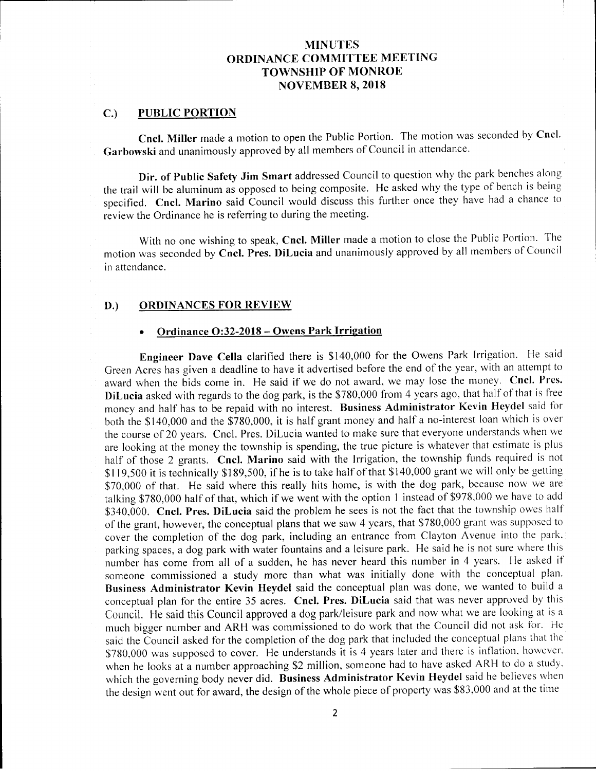#### C.) PUBLIC PORTION

Cncl. Miller made <sup>a</sup> motion to open the Public Portion. The motion was seconded by Cncl. Garbowski and unanimously approved by all members of Council in attendance.

Dir. of Public Safety Jim Smart addressed Council to question why the park benches along the trail will be aluminum as opposed to being composite. He asked why the type of bench is being specified. Cncl. Marino said Council would discuss this further once they have had a chance to review the Ordinance he is referring to during the meeting.

With no one wishing to speak, Cncl. Miller made <sup>a</sup> motion to close the Public Portion. The motion was seconded by Cncl. Pres. DiLucia and unanimously approved by all members of Council in attendance.

#### D.) ORDINANCES FOR REVIEW

## Ordinance O:32-2018 - Owens Park Irrigation

Engineer Dave Cella clarified there is \$140,000 for the Owens Park Irrigation. He said Green Acres has given <sup>a</sup> deadline to have it advertised before the end of the year, with an attempt to award when the bids come in. He said if we do not award, we may lose the money. Cncl. Pres. DiLucia asked with regards to the dog park, is the \$780,000 from 4 years ago, that half of that is free money and half has to be repaid with no interest. Business Administrator Kevin Heydel said for both the \$140,000 and the \$780,000, it is half grant money and half a no-interest loan which is over the course of 20 years. Cncl. Pres. DiLucia wanted to make sure that everyone understands when we are looking at the money the township is spending, the true picture is whatever that estimate is plus half of those 2 grants. Cncl. Marino said with the Irrigation, the township funds required is not \$119,500 it is technically \$189,500, if he is to take half of that \$140,000 grant we will only be getting \$70,000 of that. He said where this really hits home, is with the dog park, because now we are talking \$780,000 half of that, which if we went with the option 1 instead of \$978,000 we have to add \$340,000. Cncl. Pres. DiLucia said the problem he sees is not the fact that the township owes half of the grant, however, the conceptual plans that we saw 4 years, that \$780,000 grant was supposed to cover the completion of the dog park, including an entrance from Clayton Avenue into the park. parking spaces, <sup>a</sup> dog park with water fountains and <sup>a</sup> leisure park. He said he is not sure where this number has come from all of <sup>a</sup> sudden, he has never heard this number in <sup>4</sup> years. He asked if someone commissioned <sup>a</sup> study more than what was initially done with the conceptual plan. Business Administrator Kevin Heydel said the conceptual plan was done, we wanted to build <sup>a</sup> conceptual plan for the entire 35 acres. Cncl. Pres. DiLucia said that was never approved by this Council. He said this Council approved <sup>a</sup> dog park/ leisure park and now what we are looking at is <sup>a</sup> much bigger number and ARH was commissioned to do work that the Council did not ask for. He said the Council asked for the completion of the dog park that included the conceptual plans that the 780.000 was supposed to cover. He understands it is 4 years later and there is inflation, however. when he looks at a number approaching \$2 million, someone had to have asked ARH to do a study, which the governing body never did. Business Administrator Kevin Heydel said he believes when the design went out for award, the design of the whole piece of property was \$83,000 and at the time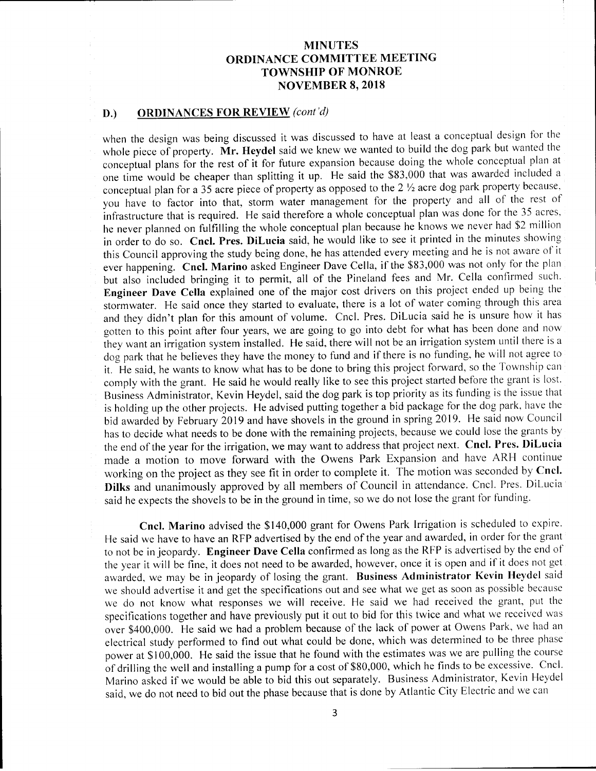## D.) ORDINANCES FOR REVIEW (cont'd)

when the design was being discussed it was discussed to have at least <sup>a</sup> conceptual design for the whole piece of property. Mr. Heydel said we knew we wanted to build the dog park but wanted the conceptual plans for the rest of it for future expansion because doing the whole conceptual plan at one time would be cheaper than splitting it up. He said the  $$83,000$  that was awarded included a conceptual plan for a 35 acre piece of property as opposed to the  $2\frac{1}{2}$  acre dog park property because. you have to factor into that, storm water management for the property and all of the rest of infrastructure that is required. He said therefore <sup>a</sup> whole conceptual plan was done for the 35 acres. he never planned on fulfilling the whole conceptual plan because he knows we never had \$2 million in order to do so. Cncl. Pres. DiLucia said, he would like to see it printed in the minutes showing this Council approving the study being done, he has attended every meeting and he is not aware of it ever happening. Cncl. Marino asked Engineer Dave Cella, if the \$83,000 was not only for the plan but also included bringing it to permit, all of the Pineland fees and Mr. Cella confirmed such. Engineer Dave Cella explained one of the major cost drivers on this project ended up being the stormwater. He said once they started to evaluate, there is <sup>a</sup> lot of water coming through this area and they didn't plan for this amount of volume. Cncl. Pres. DiLucia said he is unsure how it has gotten to this point after four years, we are going to go into debt for what has been done and now they want an irrigation system installed. He said, there will not be an irrigation system until there is <sup>a</sup> dog park that he believes they have the money to fund and if there is no funding, he will not agree to it. He said, he wants to know what has to be done to bring this project forward, so the Township can comply with the grant. He said he would really like to see this project started before the grant is lost. Business Administrator, Kevin Heyde), said the dog park is top priority as its funding is the issue that is holding up the other projects. He advised putting together <sup>a</sup> bid package for the dog park, have the bid awarded by February <sup>2019</sup> and have shovels in the ground in spring 2019. He said now Council has to decide what needs to be done with the remaining projects, because we could lose the grants by the end of the year for the irrigation, we may want to address that project next. Cncl. Pres. DiLucia made a motion to move forward with the Owens Park Expansion and have ARH continue working on the project as they see fit in order to complete it. The motion was seconded by Cncl. Dilks and unanimously approved by all members of Council in attendance. Cncl. Pres. DiLucia said he expects the shovels to be in the ground in time, so we do not lose the grant for funding.

Cncl. Marino advised the \$140,000 grant for Owens Park Irrigation is scheduled to expire. He said we have to have an RFP advertised by the end of the year and awarded, in order for the grant to not be in jeopardy. Engineer Dave Cella confirmed as long as the RFP is advertised by the end of the year it will be fine, it does not need to be awarded, however, once it is open and if it does not get awarded, we may be in jeopardy of losing the grant. Business Administrator Kevin Heydel said we should advertise it and get the specifications out and see what we get as soon as possible because we do not know what responses we will receive. He said we had received the grant, put the specifications together and have previously put it out to bid for this twice and what we received was over \$400,000. He said we had a problem because of the lack of power at Owens Park, we had an electrical study performed to find out what could be done, which was determined to be three phase power at \$100,000. He said the issue that he found with the estimates was we are pulling the course of drilling the well and installing a pump for a cost of \$80,000, which he finds to be excessive. Cncl. Marino asked if we would be able to bid this out separately. Business Administrator, Kevin Heydel said, we do not need to bid out the phase because that is done by Atlantic City Electric and we can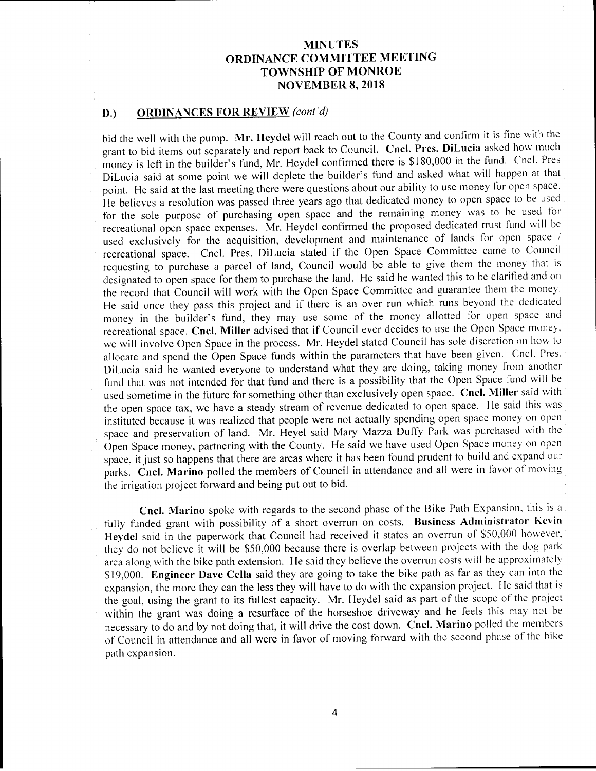#### D.) ORDINANCES FOR REVIEW (cont'd)

bid the well with the pump. Mr. Heydel will reach out to the County and confirm it is fine with the grant to bid items out separately and report back to Council. Cncl. Pres. DiLucia asked how much money is left in the builder's fund, Mr. Heydel confirmed there is \$180,000 in the fund. Cncl. Pres DiLucia said at some point we will deplete the builder's fund and asked what will happen at that point. He said at the last meeting there were questions about our ability to use money for open space. He believes a resolution was passed three years ago that dedicated money to open space to be used for the sole purpose of purchasing open space and the remaining money was to be used for recreational open space expenses. Mr. Heydel confirmed the proposed dedicated trust fund will be used exclusively for the acquisition, development and maintenance of lands for open space / recreational space. Cncl. Pres. DiLucia stated if the Open Space Committee came to Council requesting to purchase <sup>a</sup> parcel of land, Council would be able to give them the money that is designated to open space for them to purchase the land. He said he wanted this to be clarified and on the record that Council will work with the Open Space Committee and guarantee them the money. He said once they pass this project and if there is an over run which runs beyond the dedicated money in the builder's fund, they may use some of the money allotted for open space and recreational space. Cncl. Miller advised that if Council ever decides to use the Open Space money. we will involve Open Space in the process. Mr. Heydel stated Council has sole discretion on how to allocate and spend the Open Space funds within the parameters that have been given. Cncl. Pres. DiLucia said he wanted everyone to understand what they are doing, taking money from another fund that was not intended for that fund and there is <sup>a</sup> possibility that the Open Space fund will be used sometime in the future for something other than exclusively open space. Cncl. Miller said with the open space tax, we have <sup>a</sup> steady stream of revenue dedicated to open space. He said this was instituted because it was realized that people were not actually spending open space money on open space and preservation of land. Mr. Heyel said Mary Mazza Duffy Park was purchased with the Open Space money, partnering with the County. He said we have used Open Space money on open space, it just so happens that there are areas where it has been found prudent to build and expand our parks. Cncl. Marino polled the members of Council in attendance and all were in favor of moving the irrigation project forward and being put out to bid.

Cncl. Marino spoke with regards to the second phase of the Bike Path Expansion, this is <sup>a</sup> fully funded grant with possibility of <sup>a</sup> short overrun on costs. Business Administrator Kevin Heydel said in the paperwork that Council had received it states an overrun of \$50,000 however, they do not believe it will be \$50,000 because there is overlap between projects with the dog park area along with the bike path extension. He said they believe the overrun costs will be approximately \$19,000. Engineer Dave Cella said they are going to take the bike path as far as they can into the expansion, the more they can the less they will have to do with the expansion project. He said that is the goal, using the grant to its fullest capacity. Mr. Heydel said as part of the scope of the project within the grant was doing <sup>a</sup> resurface of the horseshoe driveway and he feels this may not be necessary to do and by not doing that, it will drive the cost down. Cncl. Marino polled the members of Council in attendance and all were in favor of moving forward with the second phase of the bike path expansion.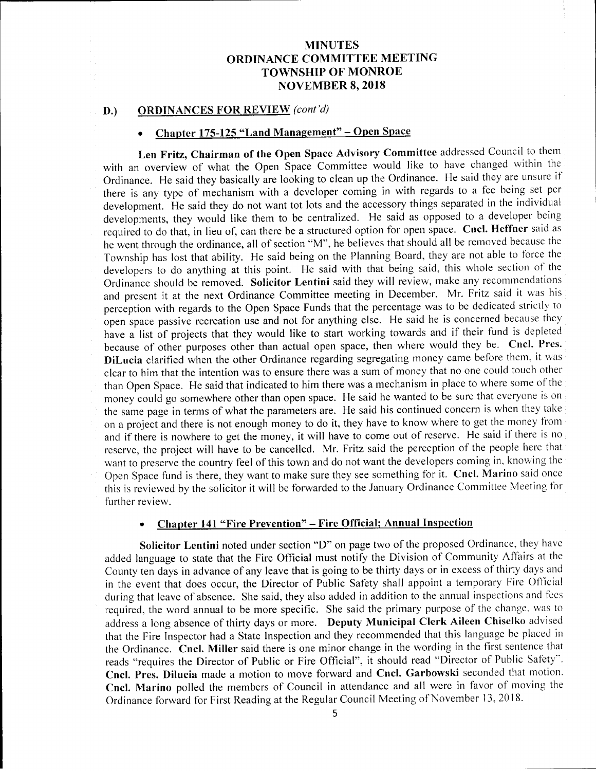#### D.) ORDINANCES FOR REVIEW (cont'd)

## Chapter 175-125 "Land Management" – Open Space

Len Fritz, Chairman of the Open Space Advisory Committee addressed Council to them with an overview of what the Open Space Committee would like to have changed within the Ordinance. He said they basically are looking to clean up the Ordinance. He said they are unsure if there is any type of mechanism with <sup>a</sup> developer coming in with regards to <sup>a</sup> fee being set per development. He said they do not want tot lots and the accessory things separated in the individual developments, they would like them to be centralized. He said as opposed to <sup>a</sup> developer being required to do that, in lieu of, can there be <sup>a</sup> structured option for open space. Cncl. Heffner said as he went through the ordinance, all of section "M", he believes that should all be removed because the Township has lost that ability. He said being on the Planning Board, they are not able to force the developers to do anything at this point. He said with that being said, this whole section of the Ordinance should be removed. Solicitor Lentini said they will review, make any recommendations and present it at the next Ordinance Committee meeting in December. Mr. Fritz said it was his perception with regards to the Open Space Funds that the percentage was to be dedicated strictly to open space passive recreation use and not for anything else. He said he is concerned because they have <sup>a</sup> list of projects that they would like to start working towards and if their fund is depleted because of other purposes other than actual open space, then where would they be. Cncl. Pres. DiLucia clarified when the other Ordinance regarding segregating money came before them, it was clear to him that the intention was to ensure there was <sup>a</sup> sum of money that no one could touch other than Open Space. He said that indicated to him there was <sup>a</sup> mechanism in place to where some of the money could go somewhere other than open space. He said he wanted to be sure that everyone is on the same page in terms of what the parameters are. He said his continued concern is when they take on a project and there is not enough money to do it, they have to know where to get the money from and if there is nowhere to get the money, it will have to come out of reserve. He said if there is no reserve, the project will have to be cancelled. Mr. Fritz said the perception of the people here that want to preserve the country feel of this town and do not want the developers coming in, knowing the Open Space fund is there, they want to make sure they see something for it. Cncl. Marino said once this is reviewed by the solicitor it will be forwarded to the January Ordinance Committee Meeting for further review.

## Chapter 141 " Fire Prevention"— Fire Official; Annual Inspection

Solicitor Lentini noted under section "D" on page two of the proposed Ordinance, they have added language to state that the Fire Official must notify the Division of Community Affairs at the County ten days in advance of any leave that is going to be thirty days or in excess of thirty days and in the event that does occur, the Director of Public Safety shall appoint <sup>a</sup> temporary Fire Official during that leave of absence. She said, they also added in addition to the annual inspections and fees required, the word annual to be more specific. She said the primary purpose of the change, was to address a long absence of thirty days or more. Deputy Municipal Clerk Aileen Chiselko advised that the Fire Inspector had a State Inspection and they recommended that this language be placed in the Ordinance. Cncl. Miller said there is one minor change in the wording in the first sentence that reads "requires the Director of Public or Fire Official", it should read "Director of Public Safety". Cncl. Pres. Dilucia made <sup>a</sup> motion to move forward and Cncl. Garbowski seconded that motion. Cncl. Marino polled the members of Council in attendance and all were in favor of moving the Ordinance forward for First Reading at the Regular Council Meeting of November 13, 2018.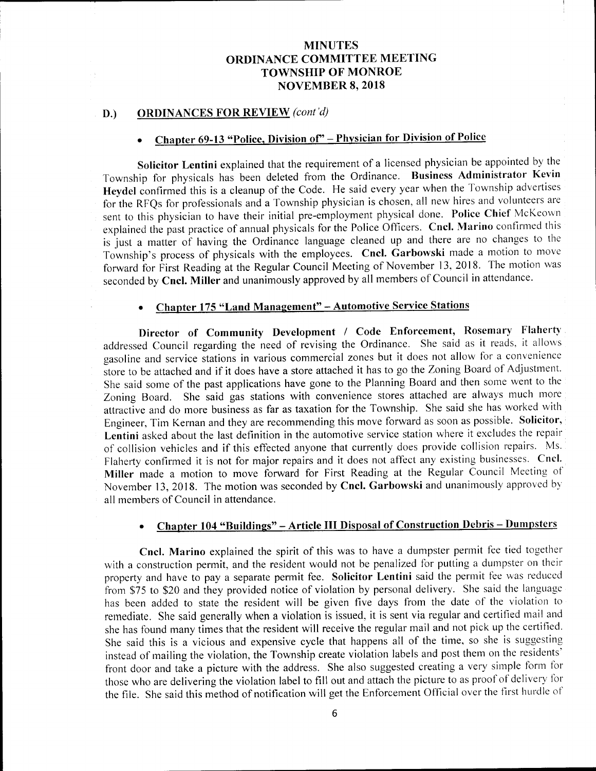## D.) ORDINANCES FOR REVIEW (cont'd)

# Chapter 69-13 "Police, Division of" – Physician for Division of Police

Solicitor Lentini explained that the requirement of <sup>a</sup> licensed physician be appointed by the Township for physicals has been deleted from the Ordinance. Business Administrator Kevin Heydel confirmed this is <sup>a</sup> cleanup of the Code. He said every year when the Township advertises for the RFQs for professionals and <sup>a</sup> Township physician is chosen, all new hires and volunteers are sent to this physician to have their initial pre-employment physical done. Police Chief McKeown explained the past practice of annual physicals for the Police Officers. Cncl. Marino confirmed this is just <sup>a</sup> matter of having the Ordinance language cleaned up and there are no changes to the Township's process of physicals with the employees. Cncl. Garbowski made a motion to move forward for First Reading at the Regular Council Meeting of November 13, 2018. The motion was seconded by Cncl. Miller and unanimously approved by all members of Council in attendance.

## Chapter 175 "Land Management" - Automotive Service Stations

Director of Community Development / Code Enforcement, Rosemary Flaherty addressed Council regarding the need of revising the Ordinance. She said as it reads, it allows gasoline and service stations in various commercial zones but it does not allow for <sup>a</sup> convenience store to be attached and if it does have <sup>a</sup> store attached it has to go the Zoning Board of Adjustment. She said some of the past applications have gone to the Planning Board and then some went to the Zoning Board. She said gas stations with convenience stores attached are always much more attractive and do more business as far as taxation for the Township. She said she has worked with Engineer, Tim Kernan and they are recommending this move forward as soon as possible. Solicitor, Lentini asked about the last definition in the automotive service station where it excludes the repair of collision vehicles and if this effected anyone that currently does provide collision repairs. Ms. Flaherty confirmed it is not for major repairs and it does not affect any existing businesses. Cncl. Miller made <sup>a</sup> motion to move forward for First Reading at the Regular Council Meeting of November 13, 2018. The motion was seconded by Cncl. Garbowski and unanimously approved by all members of Council in attendance.

## Chapter 104 " Buildings"— Article III Disposal of Construction Debris—Dumpsters

Cncl. Marino explained the spirit of this was to have <sup>a</sup> dumpster permit fee tied together with <sup>a</sup> construction permit, and the resident would not be penalized for putting a dumpster on their property and have to pay <sup>a</sup> separate permit fee. Solicitor Lentini said the permit fee was reduced from \$75 to \$20 and they provided notice of violation by personal delivery. She said the language has been added to state the resident will be given five days from the date of the violation to remediate. She said generally when <sup>a</sup> violation is issued, it is sent via regular and certified mail and she has found many times that the resident will receive the regular mail and not pick up the certified. She said this is <sup>a</sup> vicious and expensive cycle that happens all of the time, so she is suggesting instead of mailing the violation, the Township create violation labels and post them on the residents' front door and take <sup>a</sup> picture with the address. She also suggested creating <sup>a</sup> very simple form for those who are delivering the violation label to fill out and attach the picture to as proof of delivery for the file. She said this method of notification will get the Enforcement Official over the first hurdle of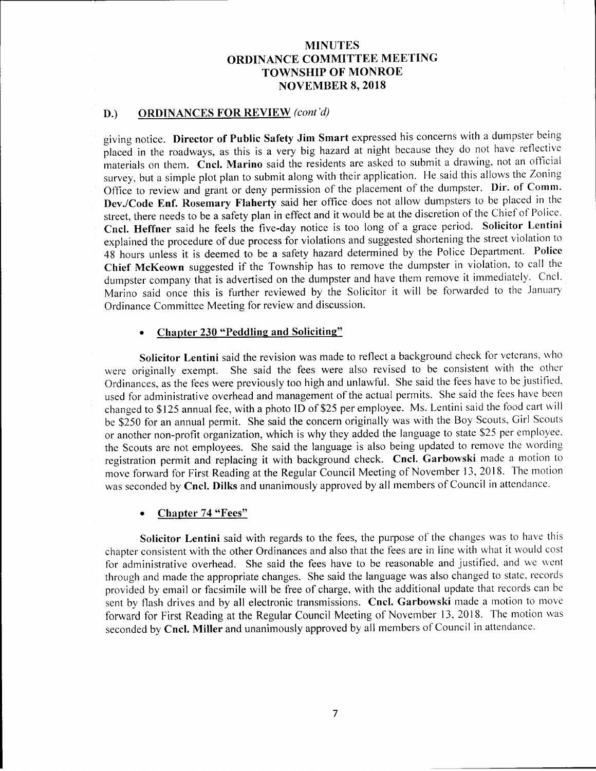#### D.) ORDINANCES FOR REVIEW (cont'd)

giving notice. Director of Public Safety Jim Smart expressed his concerns with a dumpster being placed in the roadways, as this is a very big hazard at night because they do not have reflective materials on them. Cncl. Marino said the residents are asked to submit <sup>a</sup> drawing, not an official survey, but <sup>a</sup> simple plot plan to submit along with their application. He said this allows the Zoning Office to review and grant or deny permission of the placement of the dumpster. Dir. of Comm. Dev./Code Enf. Rosemary Flaherty said her office does not allow dumpsters to be placed in the street, there needs to be <sup>a</sup> safety plan in effect and it would be at the discretion of the Chief of Police. Cncl. Heffner said he feels the five-day notice is too long of <sup>a</sup> grace period. Solicitor Lentini explained the procedure of due process for violations and suggested shortening the street violation to <sup>48</sup> hours unless it is deemed to be <sup>a</sup> safety hazard determined by the Police Department. Police Chief McKeown suggested if the Township has to remove the dumpster in violation, to call the dumpster company that is advertised on the dumpster and have them remove it immediately. Cncl. Marino said once this is further reviewed by the Solicitor it will be forwarded to the January Ordinance Committee Meeting for review and discussion.

#### Chapter 230 "Peddling and Soliciting"

Solicitor Lentini said the revision was made to reflect a background check for veterans, who were originally exempt. She said the fees were also revised to be consistent with the other Ordinances, as the fees were previously too high and unlawful. She said the fees have to be justified, used for administrative overhead and management of the actual permits. She said the fees have been changed to \$125 annual fee, with a photo ID of \$25 per employee. Ms. Lentini said the food cart will be \$250 for an annual permit. She said the concern originally was with the Boy Scouts, Girl Scouts or another non-profit organization, which is why they added the language to state \$25 per employee. the Scouts are not employees. She said the language is also being updated to remove the wording registration permit and replacing it with background check. Cncl. Garbowski made <sup>a</sup> motion to move forward for First Reading at the Regular Council Meeting of November 13, 2018. The motion was seconded by Cncl. Dilks and unanimously approved by all members of Council in attendance.

#### Chapter 74 "Fees"

Solicitor Lentini said with regards to the fees, the purpose of the changes was to have this chapter consistent with the other Ordinances and also that the fees are in line with what it would cost for administrative overhead. She said the fees have to be reasonable and justified, and we went through and made the appropriate changes. She said the language was also changed to state, records provided by email or facsimile will be free of charge, with the additional update that records can be sent by flash drives and by all electronic transmissions. Cncl. Garbowski made a motion to move forward for First Reading at the Regular Council Meeting of November 13, 2018. The motion was seconded by Cncl. Miller and unanimously approved by all members of Council in attendance.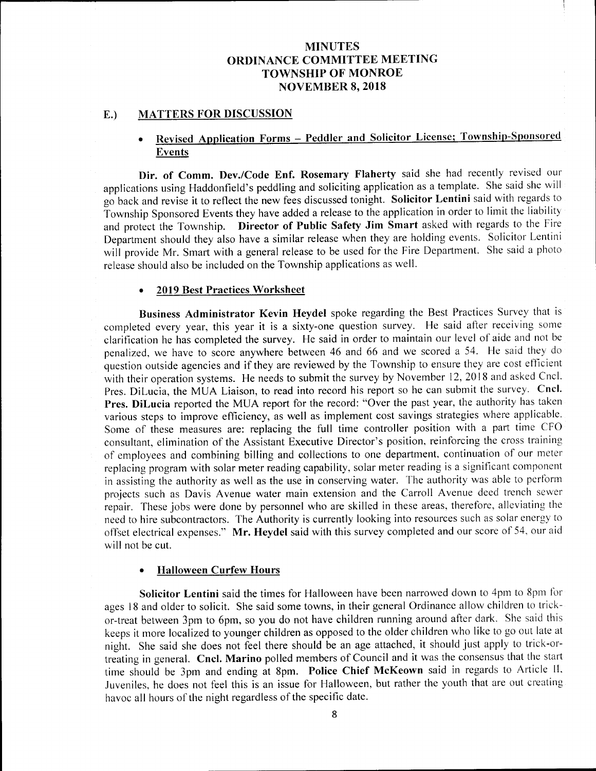#### E.) MATTERS FOR DISCUSSION

## Revised Application Forms — Peddler and Solicitor License; Township-Sponsored Events

Dir. of Comm. Dev./Code Enf. Rosemary Flaherty said she had recently revised our applications using Haddonfield's peddling and soliciting application as a template. She said she will go back and revise it to reflect the new fees discussed tonight. Solicitor Lentini said with regards to Township Sponsored Events they have added a release to the application in order to limit the liability and protect the Township. Director of Public Safety Jim Smart asked with regards to the Fire Department should they also have <sup>a</sup> similar release when they are holding events. Solicitor Lentini will provide Mr. Smart with <sup>a</sup> general release to be used for the Fire Department. She said <sup>a</sup> photo release should also be included on the Township applications as well.

#### 2019 Best Practices Worksheet

Business Administrator Kevin Heydel spoke regarding the Best Practices Survey that is completed every year, this year it is a sixty-one question survey. He said after receiving some clarification he has completed the survey. He said in order to maintain our level of aide and not be penalized, we have to score anywhere between 46 and 66 and we scored <sup>a</sup> 54. He said they do question outside agencies and if they are reviewed by the Township to ensure they are cost efficient with their operation systems. He needs to submit the survey by November 12, 2018 and asked Cncl. Pres. DiLucia, the MUA Liaison, to read into record his report so he can submit the survey. Cncl. Pres. DiLucia reported the MUA report for the record: "Over the past year, the authority has taken various steps to improve efficiency, as well as implement cost savings strategies where applicable. Some of these measures are: replacing the full time controller position with <sup>a</sup> part time CFO consultant, elimination of the Assistant Executive Director's position, reinforcing the cross training of employees and combining billing and collections to one department, continuation of our meter replacing program with solar meter reading capability, solar meter reading is <sup>a</sup> significant component in assisting the authority as well as the use in conserving water. The authority was able to perform projects such as Davis Avenue water main extension and the Carroll Avenue deed trench sewer repair. These jobs were done by personnel who are skilled in these areas, therefore, alleviating the need to hire subcontractors. The Authority is currently looking into resources such as solar energy to offset electrical expenses." Mr. Heydel said with this survey completed and our score of 54, our aid will not be cut.

#### Halloween Curfew Hours  $\bullet$

Solicitor Lentini said the times for Halloween have been narrowed down to 4pm to 8pm for ages 18 and older to solicit. She said some towns, in their general Ordinance allow children to trickor-treat between 3pm to 6pm, so you do not have children running around after dark. She said this keeps it more localized to younger children as opposed to the older children who like to go out late at night. She said she does not feel there should be an age attached, it should just apply to trick-ortreating in general. Cncl. Marino polled members of Council and it was the consensus that the start time should be 3pm and ending at 8pm. Police Chief McKeown said in regards to Article II, Juveniles, he does not feel this is an issue for Halloween, but rather the youth that are out creating havoc all hours of the night regardless of the specific date.